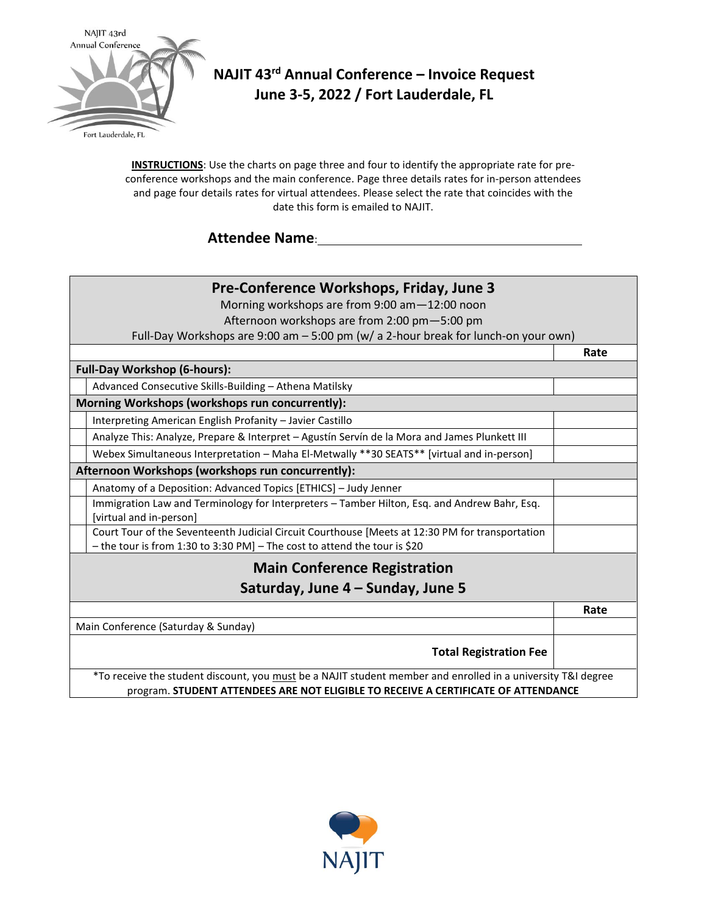

# **NAJIT 43rd Annual Conference – Invoice Request June 3-5, 2022 / Fort Lauderdale, FL**

**INSTRUCTIONS**: Use the charts on page three and four to identify the appropriate rate for preconference workshops and the main conference. Page three details rates for in-person attendees and page four details rates for virtual attendees. Please select the rate that coincides with the date this form is emailed to NAJIT.

## **Attendee Name**:

## **Pre-Conference Workshops, Friday, June 3** Morning workshops are from 9:00 am—12:00 noon Afternoon workshops are from 2:00 pm—5:00 pm Full-Day Workshops are 9:00 am – 5:00 pm (w/ a 2-hour break for lunch-on your own) **Rate Full-Day Workshop (6-hours):** Advanced Consecutive Skills-Building – Athena Matilsky **Morning Workshops (workshops run concurrently):** Interpreting American English Profanity – Javier Castillo Analyze This: Analyze, Prepare & Interpret – Agustín Servín de la Mora and James Plunkett III Webex Simultaneous Interpretation – Maha El-Metwally \*\*30 SEATS\*\* [virtual and in-person] **Afternoon Workshops (workshops run concurrently):** Anatomy of a Deposition: Advanced Topics [ETHICS] – Judy Jenner Immigration Law and Terminology for Interpreters – Tamber Hilton, Esq. and Andrew Bahr, Esq. [virtual and in-person] Court Tour of the Seventeenth Judicial Circuit Courthouse [Meets at 12:30 PM for transportation – the tour is from 1:30 to 3:30 PM] – The cost to attend the tour is \$20 **Main Conference Registration Saturday, June 4 – Sunday, June 5 Rate** Main Conference (Saturday & Sunday) **Total Registration Fee** \*To receive the student discount, you must be a NAJIT student member and enrolled in a university T&I degree program. **STUDENT ATTENDEES ARE NOT ELIGIBLE TO RECEIVE A CERTIFICATE OF ATTENDANCE**

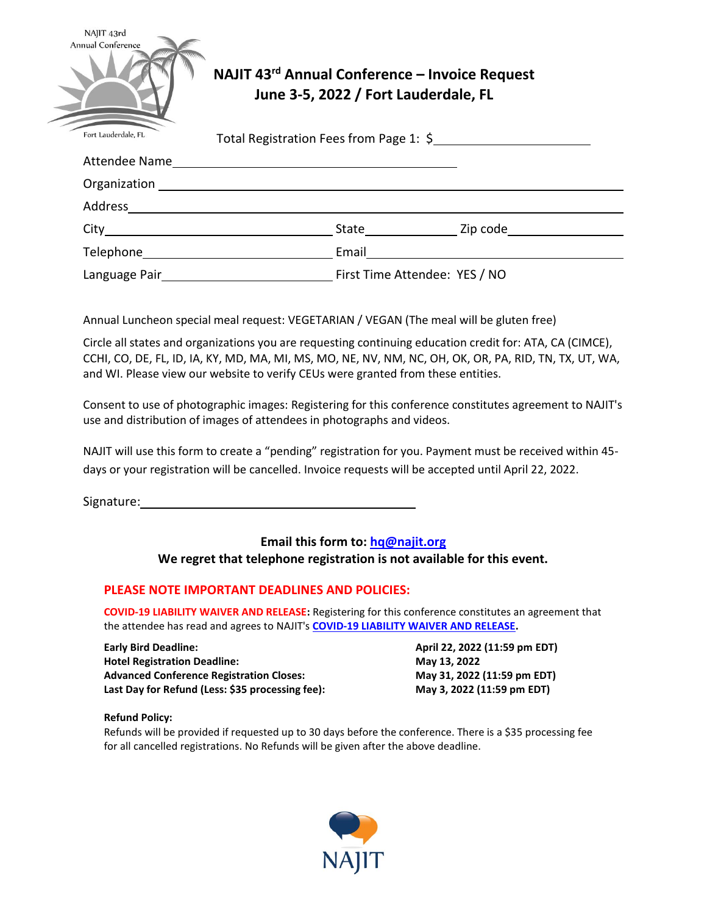| NAJIT 43rd<br>Annual Conference | NAJIT 43rd Annual Conference - Invoice Request<br>June 3-5, 2022 / Fort Lauderdale, FL                                                                                                                                        |                |  |  |  |  |
|---------------------------------|-------------------------------------------------------------------------------------------------------------------------------------------------------------------------------------------------------------------------------|----------------|--|--|--|--|
| Fort Lauderdale, FL             | Total Registration Fees from Page 1: \$                                                                                                                                                                                       |                |  |  |  |  |
|                                 |                                                                                                                                                                                                                               |                |  |  |  |  |
|                                 | Organization and the contract of the contract of the contract of the contract of the contract of the contract of the contract of the contract of the contract of the contract of the contract of the contract of the contract |                |  |  |  |  |
|                                 |                                                                                                                                                                                                                               |                |  |  |  |  |
| City                            |                                                                                                                                                                                                                               | State Zip code |  |  |  |  |
| Telephone                       | Email                                                                                                                                                                                                                         |                |  |  |  |  |

Language Pair First Time Attendee: YES / NO

Annual Luncheon special meal request: VEGETARIAN / VEGAN (The meal will be gluten free)

Circle all states and organizations you are requesting continuing education credit for: ATA, CA (CIMCE), CCHI, CO, DE, FL, ID, IA, KY, MD, MA, MI, MS, MO, NE, NV, NM, NC, OH, OK, OR, PA, RID, TN, TX, UT, WA, and WI. Please view our website to verify CEUs were granted from these entities.

Consent to use of photographic images: Registering for this conference constitutes agreement to NAJIT's use and distribution of images of attendees in photographs and videos.

NAJIT will use this form to create a "pending" registration for you. Payment must be received within 45 days or your registration will be cancelled. Invoice requests will be accepted until April 22, 2022.

Signature: 1988

### **Email this form to: [hq@najit.org](mailto:hq@najit.org) We regret that telephone registration is not available for this event.**

### **PLEASE NOTE IMPORTANT DEADLINES AND POLICIES:**

**COVID-19 LIABILITY WAIVER AND RELEASE:** Registering for this conference constitutes an agreement that the attendee has read and agrees to NAJIT's **[COVID-19 LIABILITY WAIVER AND RELEASE.](https://najit.org/wp-content/uploads/2022/02/COVID19-WAIVER-STATEMENT.pdf)**

**Early Bird Deadline: April 22, 2022 (11:59 pm EDT) Hotel Registration Deadline: May 13, 2022 Advanced Conference Registration Closes: May 31, 2022 (11:59 pm EDT)** Last Day for Refund (Less: \$35 processing fee): May 3, 2022 (11:59 pm EDT)

#### **Refund Policy:**

Refunds will be provided if requested up to 30 days before the conference. There is a \$35 processing fee for all cancelled registrations. No Refunds will be given after the above deadline.

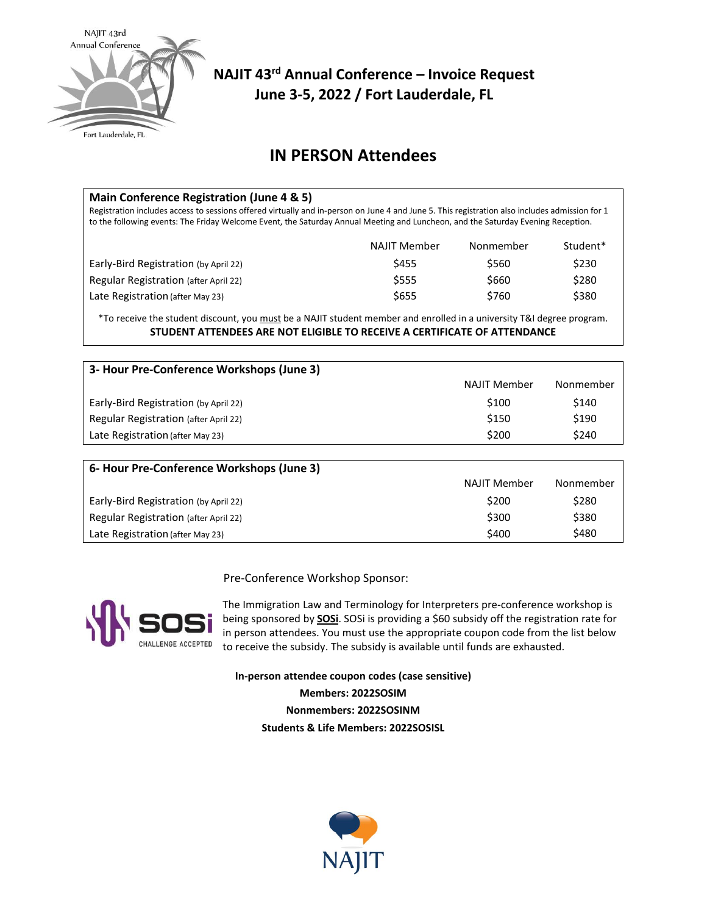

# **NAJIT 43rd Annual Conference – Invoice Request June 3-5, 2022 / Fort Lauderdale, FL**

## **IN PERSON Attendees**

| Main Conference Registration (June 4 & 5)<br>Registration includes access to sessions offered virtually and in-person on June 4 and June 5. This registration also includes admission for 1<br>to the following events: The Friday Welcome Event, the Saturday Annual Meeting and Luncheon, and the Saturday Evening Reception. |                     |           |          |  |  |  |
|---------------------------------------------------------------------------------------------------------------------------------------------------------------------------------------------------------------------------------------------------------------------------------------------------------------------------------|---------------------|-----------|----------|--|--|--|
|                                                                                                                                                                                                                                                                                                                                 | <b>NAJIT Member</b> | Nonmember | Student* |  |  |  |
| Early-Bird Registration (by April 22)                                                                                                                                                                                                                                                                                           | \$455               | \$560     | \$230    |  |  |  |
| Regular Registration (after April 22)                                                                                                                                                                                                                                                                                           | \$555               | \$660     | \$280    |  |  |  |
| Late Registration (after May 23)                                                                                                                                                                                                                                                                                                | \$655               | \$760     | \$380    |  |  |  |

\*To receive the student discount, you must be a NAJIT student member and enrolled in a university T&I degree program. **STUDENT ATTENDEES ARE NOT ELIGIBLE TO RECEIVE A CERTIFICATE OF ATTENDANCE**

| 3- Hour Pre-Conference Workshops (June 3) |                     |           |  |  |  |  |  |
|-------------------------------------------|---------------------|-----------|--|--|--|--|--|
|                                           | <b>NAJIT Member</b> | Nonmember |  |  |  |  |  |
| Early-Bird Registration (by April 22)     | \$100               | \$140     |  |  |  |  |  |
| Regular Registration (after April 22)     | \$150               | \$190     |  |  |  |  |  |
| Late Registration (after May 23)          | \$200               | \$240     |  |  |  |  |  |

| 6- Hour Pre-Conference Workshops (June 3) |              |           |  |  |  |  |
|-------------------------------------------|--------------|-----------|--|--|--|--|
|                                           | NAJIT Member | Nonmember |  |  |  |  |
| Early-Bird Registration (by April 22)     | \$200        | \$280     |  |  |  |  |
| Regular Registration (after April 22)     | \$300        | \$380     |  |  |  |  |
| Late Registration (after May 23)          | \$400        | \$480     |  |  |  |  |

Pre-Conference Workshop Sponsor:



The Immigration Law and Terminology for Interpreters pre-conference workshop is being sponsored by **[SOSi](https://www.sosi.com/)**. SOSi is providing a \$60 subsidy off the registration rate for in person attendees. You must use the appropriate coupon code from the list below to receive the subsidy. The subsidy is available until funds are exhausted.

**In-person attendee coupon codes (case sensitive) Members: 2022SOSIM Nonmembers: 2022SOSINM Students & Life Members: 2022SOSISL**

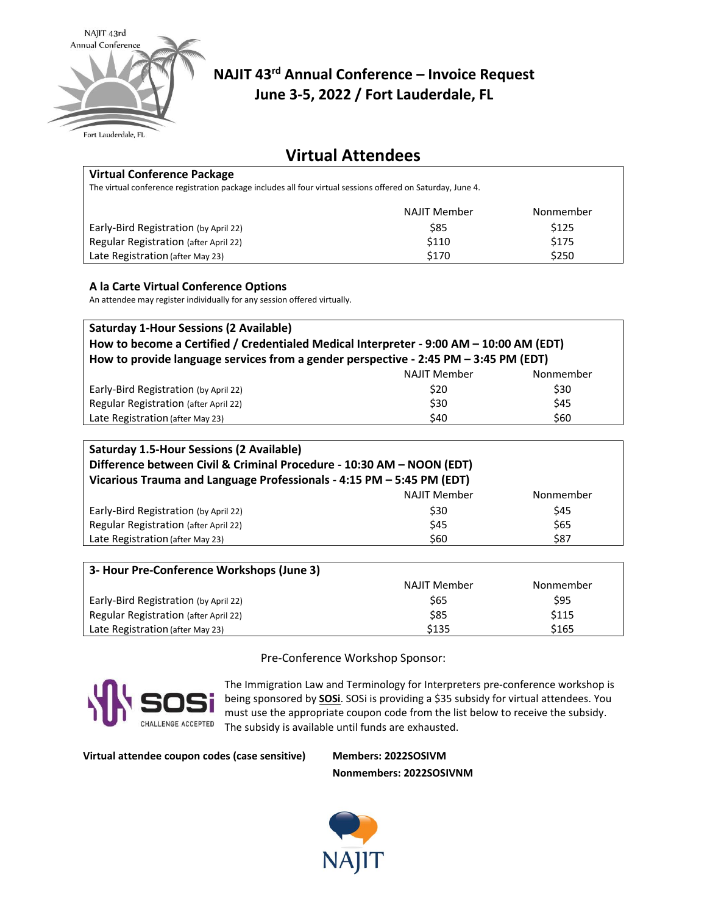

# **NAJIT 43rd Annual Conference – Invoice Request June 3-5, 2022 / Fort Lauderdale, FL**

## **Virtual Attendees**

| <b>Virtual Conference Package</b>                                                                           |                     |           |  |  |  |
|-------------------------------------------------------------------------------------------------------------|---------------------|-----------|--|--|--|
| The virtual conference registration package includes all four virtual sessions offered on Saturday, June 4. |                     |           |  |  |  |
|                                                                                                             | <b>NAJIT Member</b> | Nonmember |  |  |  |
| Early-Bird Registration (by April 22)                                                                       | \$85                | \$125     |  |  |  |
| Regular Registration (after April 22)                                                                       | \$110               | \$175     |  |  |  |
| Late Registration (after May 23)                                                                            | \$170               | \$250     |  |  |  |

#### **A la Carte Virtual Conference Options**

An attendee may register individually for any session offered virtually.

| <b>Saturday 1-Hour Sessions (2 Available)</b>                                           |                     |           |  |  |  |
|-----------------------------------------------------------------------------------------|---------------------|-----------|--|--|--|
| How to become a Certified / Credentialed Medical Interpreter - 9:00 AM - 10:00 AM (EDT) |                     |           |  |  |  |
| How to provide language services from a gender perspective - 2:45 PM - 3:45 PM (EDT)    |                     |           |  |  |  |
|                                                                                         | <b>NAJIT Member</b> | Nonmember |  |  |  |
| Early-Bird Registration (by April 22)                                                   | \$20                | \$30      |  |  |  |
| Regular Registration (after April 22)                                                   | \$30                | \$45      |  |  |  |
| Late Registration (after May 23)                                                        | \$40                | \$60      |  |  |  |

| <b>Saturday 1.5-Hour Sessions (2 Available)</b><br>Difference between Civil & Criminal Procedure - 10:30 AM - NOON (EDT)<br>Vicarious Trauma and Language Professionals - 4:15 PM - 5:45 PM (EDT) |                     |           |  |  |  |
|---------------------------------------------------------------------------------------------------------------------------------------------------------------------------------------------------|---------------------|-----------|--|--|--|
|                                                                                                                                                                                                   | <b>NAJIT Member</b> | Nonmember |  |  |  |
| Early-Bird Registration (by April 22)                                                                                                                                                             | \$30                | \$45      |  |  |  |
| Regular Registration (after April 22)                                                                                                                                                             | \$45                | \$65      |  |  |  |
| Late Registration (after May 23)                                                                                                                                                                  | \$60                | \$87      |  |  |  |

| 3- Hour Pre-Conference Workshops (June 3) |              |           |  |  |  |  |
|-------------------------------------------|--------------|-----------|--|--|--|--|
|                                           | NAJIT Member | Nonmember |  |  |  |  |
| Early-Bird Registration (by April 22)     | \$65         | \$95      |  |  |  |  |
| Regular Registration (after April 22)     | \$85         | \$115     |  |  |  |  |
| Late Registration (after May 23)          | \$135        | \$165     |  |  |  |  |

Pre-Conference Workshop Sponsor:



The Immigration Law and Terminology for Interpreters pre-conference workshop is being sponsored by **[SOSi](https://www.sosi.com/)**. SOSi is providing a \$35 subsidy for virtual attendees. You must use the appropriate coupon code from the list below to receive the subsidy. The subsidy is available until funds are exhausted.

**Virtual attendee coupon codes (case sensitive) Members: 2022SOSIVM**

**Nonmembers: 2022SOSIVNM**